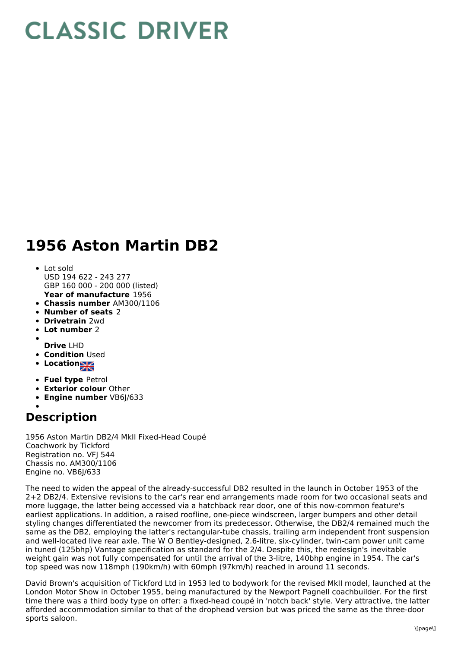## **CLASSIC DRIVER**

## **1956 Aston Martin DB2**

- **Year of manufacture** 1956 Lot sold USD 194 622 - 243 277 GBP 160 000 - 200 000 (listed)
- **Chassis number** AM300/1106
- **Number of seats** 2
- **Drivetrain** 2wd
- **Lot number** 2
- 
- **Drive** LHD **• Condition Used**
- 
- **Location**
- **Fuel type** Petrol
- **Exterior colour** Other
- **Engine number** VB6J/633

## **Description**

1956 Aston Martin DB2/4 MkII Fixed-Head Coupé Coachwork by Tickford Registration no. VFJ 544 Chassis no. AM300/1106 Engine no. VB6J/633

The need to widen the appeal of the already-successful DB2 resulted in the launch in October 1953 of the 2+2 DB2/4. Extensive revisions to the car's rear end arrangements made room for two occasional seats and more luggage, the latter being accessed via a hatchback rear door, one of this now-common feature's earliest applications. In addition, a raised roofline, one-piece windscreen, larger bumpers and other detail styling changes differentiated the newcomer from its predecessor. Otherwise, the DB2/4 remained much the same as the DB2, employing the latter's rectangular-tube chassis, trailing arm independent front suspension and well-located live rear axle. The W O Bentley-designed, 2.6-litre, six-cylinder, twin-cam power unit came in tuned (125bhp) Vantage specification as standard for the 2/4. Despite this, the redesign's inevitable weight gain was not fully compensated for until the arrival of the 3-litre, 140bhp engine in 1954. The car's top speed was now 118mph (190km/h) with 60mph (97km/h) reached in around 11 seconds.

David Brown's acquisition of Tickford Ltd in 1953 led to bodywork for the revised MkII model, launched at the London Motor Show in October 1955, being manufactured by the Newport Pagnell coachbuilder. For the first time there was a third body type on offer: a fixed-head coupé in 'notch back' style. Very attractive, the latter afforded accommodation similar to that of the drophead version but was priced the same as the three-door sports saloon.